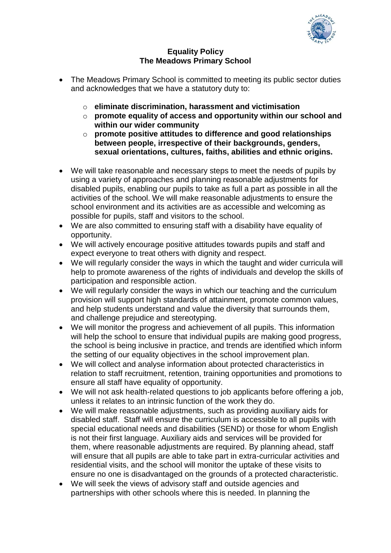

## **Equality Policy The Meadows Primary School**

- The Meadows Primary School is committed to meeting its public sector duties and acknowledges that we have a statutory duty to:
	- o **eliminate discrimination, harassment and victimisation**
	- o **promote equality of access and opportunity within our school and within our wider community**
	- o **promote positive attitudes to difference and good relationships between people, irrespective of their backgrounds, genders, sexual orientations, cultures, faiths, abilities and ethnic origins.**
- We will take reasonable and necessary steps to meet the needs of pupils by using a variety of approaches and planning reasonable adjustments for disabled pupils, enabling our pupils to take as full a part as possible in all the activities of the school. We will make reasonable adjustments to ensure the school environment and its activities are as accessible and welcoming as possible for pupils, staff and visitors to the school.
- We are also committed to ensuring staff with a disability have equality of opportunity.
- We will actively encourage positive attitudes towards pupils and staff and expect everyone to treat others with dignity and respect.
- We will regularly consider the ways in which the taught and wider curricula will help to promote awareness of the rights of individuals and develop the skills of participation and responsible action.
- We will regularly consider the ways in which our teaching and the curriculum provision will support high standards of attainment, promote common values, and help students understand and value the diversity that surrounds them, and challenge prejudice and stereotyping.
- We will monitor the progress and achievement of all pupils. This information will help the school to ensure that individual pupils are making good progress, the school is being inclusive in practice, and trends are identified which inform the setting of our equality objectives in the school improvement plan.
- We will collect and analyse information about protected characteristics in relation to staff recruitment, retention, training opportunities and promotions to ensure all staff have equality of opportunity.
- We will not ask health-related questions to job applicants before offering a job, unless it relates to an intrinsic function of the work they do.
- We will make reasonable adjustments, such as providing auxiliary aids for disabled staff. Staff will ensure the curriculum is accessible to all pupils with special educational needs and disabilities (SEND) or those for whom English is not their first language. Auxiliary aids and services will be provided for them, where reasonable adjustments are required. By planning ahead, staff will ensure that all pupils are able to take part in extra-curricular activities and residential visits, and the school will monitor the uptake of these visits to ensure no one is disadvantaged on the grounds of a protected characteristic.
- We will seek the views of advisory staff and outside agencies and partnerships with other schools where this is needed. In planning the